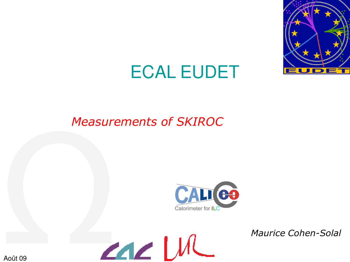

# ECAL EUDET

## *Measurements of SKIROC*



*Maurice Cohen-Solal*

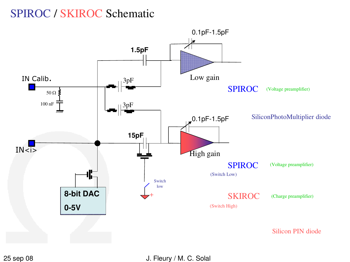## SPIROC / SKIROC Schematic



25 sep 08 J. Fleury / M. C. Solal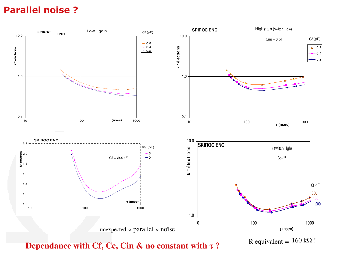### **Parallel noise ?**



**Dependance with Cf, Cc, Cin & no constant with**  $τ$  **?** 

R equivalent =  $160 \text{ k}\Omega$  !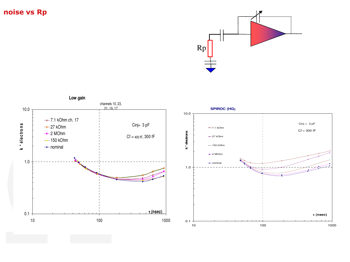#### **noise vs Rp**



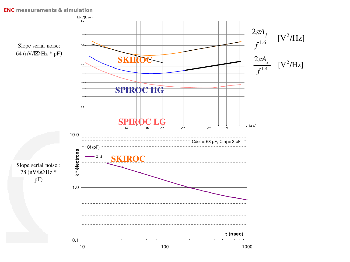#### **ENC measurements & simulation**

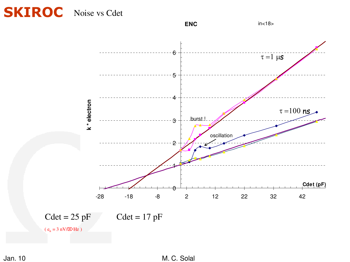## **SKIROC** Noise vs Cdet

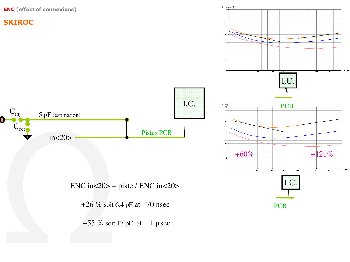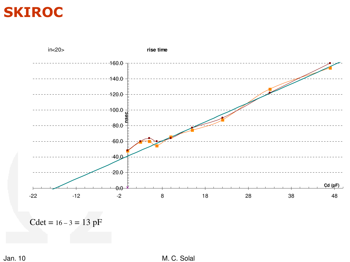# **SKIROC**



Cdet =  $16 - 3 = 13$  pF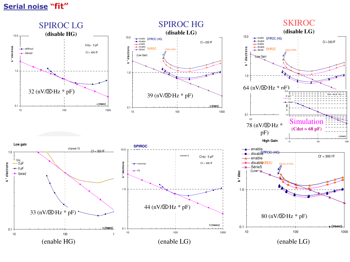#### **Serial noise "fit"**

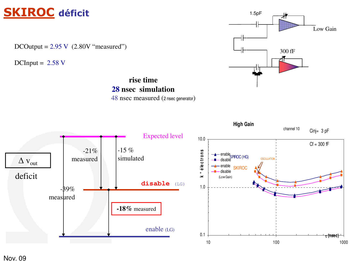## **SKIROC déficit**

DCOutput =  $2.95 \text{ V}$  (2.80V "measured")

DCInput =  $2.58 \text{ V}$ 

### **rise time 28 nsec simulation**





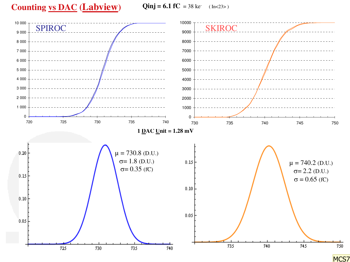### **Counting vs DAC (Labview)**

 $\text{Qinj} = 6.1 \text{ fC} = 38 \text{ ke} \quad (\text{In} < 23)$ 

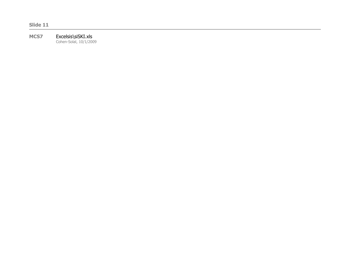**Slide 11**

#### **MCS7** Excelsis\siSKI.xls Cohen-Solal, 10/1/2009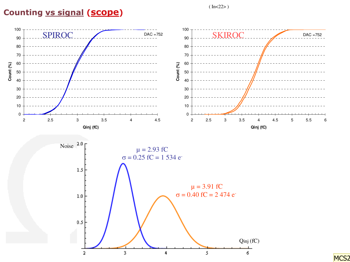$(In < 22$ 

### **Counting vs signal (scope)**

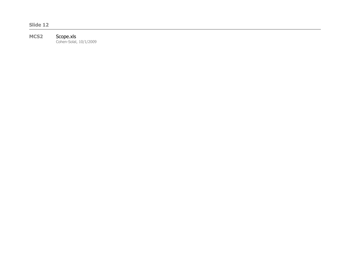**Slide 12**

#### **MCS2** Scope.xls

Cohen-Solal, 10/1/2009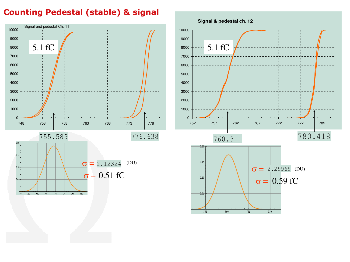#### **Counting Pedestal (stable) & signal**



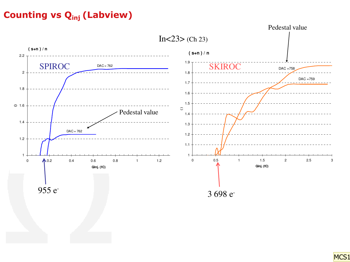## **Counting vs Qinj (Labview)**



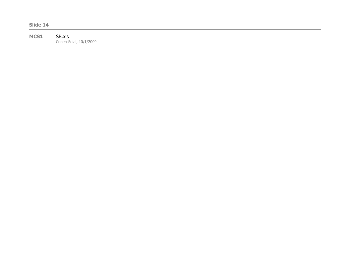**Slide 14**

#### MCS1 SB.xls

Cohen-Solal, 10/1/2009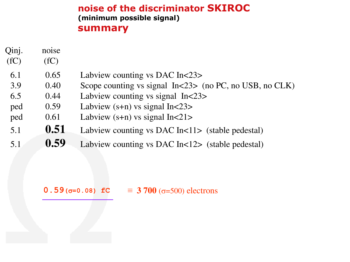### **noise of the discriminator SKIROC (minimum possible signal) summary**

- noise Qinj.
- $(fC)$  $(fC)$
- 6.1 0.65 Labview counting vs DAC In<23>
- 3.9 0.40 Scope counting vs signal In<23> (no PC, no USB, no CLK)
- 6.5 0.44 Labview counting vs signal In<23>
- ped 0.59 Labview (s+n) vs signal In<23>
- ped 0.61 Labview (s+n) vs signal In<21>
- 5.1 **0.51** Labview counting vs DAC In<11> (stable pedestal)  $0.51$
- 5.1 **0.59** Labview counting vs DAC In<12> (stable pedestal)

#### **0.59** ( $\sigma$ =0.08) **fC** = 3 700 ( $\sigma$ =500) electrons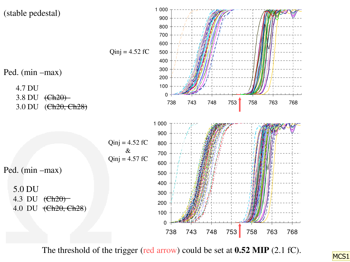

The threshold of the trigger (red arrow) could be set at **0.52 MIP** (2.1 fC).

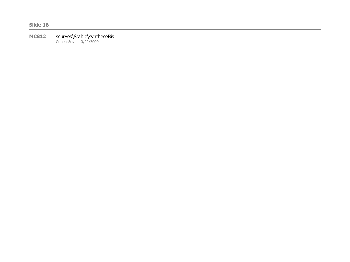#### **MCS12** scurves\Stable\syntheseBis

Cohen-Solal, 10/22/2009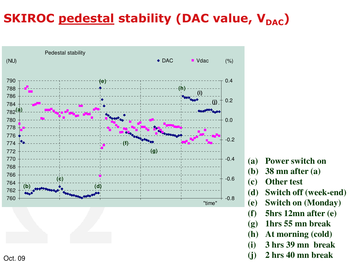# **SKIROC pedestal stability (DAC value, V<sub>DAC</sub>)**



- **(a) Power switch on**
- **(b) 38 mn after (a)**
- **(c) Other test**
- **(d) Switch off (week-end)**
- **(e) Switch on (Monday)**
- **(f) 5hrs 12mn after (e)**
- **(g) 1hrs 55 mn break**
- **(h) At morning (cold)**
- **(i) 3 hrs 39 mn break**
- **(j) 2 hrs 40 mn break**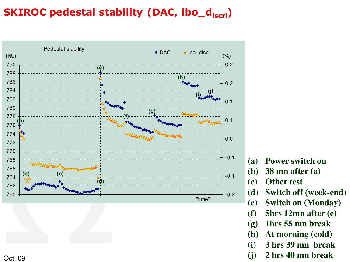## **SKIROC pedestal stability (DAC, ibo\_discri)**



- **(a) Power switch on**
- **(b) 38 mn after (a)**
- **(c) Other test**
- **(d) Switch off (week-end)**
- **(e) Switch on (Monday)**
- **(f) 5hrs 12mn after (e)**
- **(g) 1hrs 55 mn break**
- **(h) At morning (cold)**
- **(i) 3 hrs 39 mn break**
- **(j) 2 hrs 40 mn break**